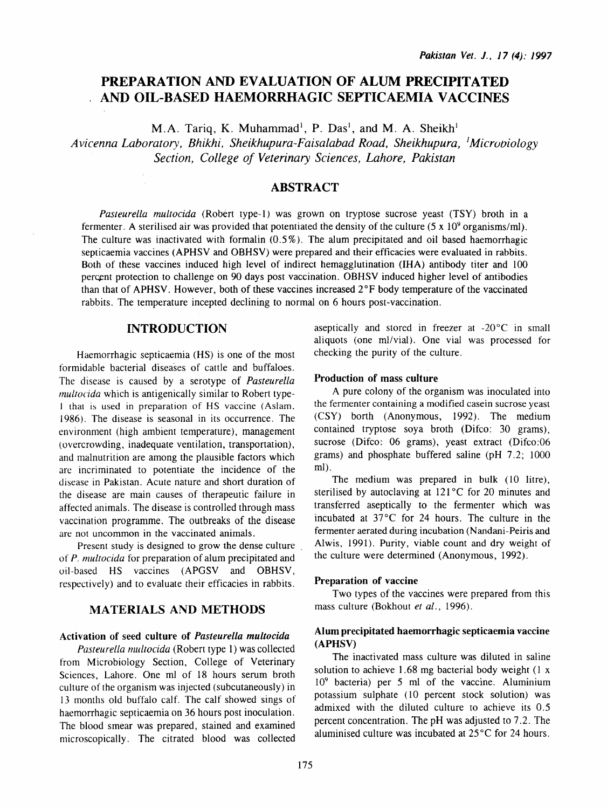# PREPARATION AND EVALUATION OF ALUM PRECIPITATED AND OIL-BASED HAEMORRHAGIC SEPTICAEMIA VACCINES

M.A. Tariq, K. Muhammad<sup>1</sup>, P. Das<sup>1</sup>, and M. A. Sheikh<sup>1</sup>

Avicenna Laboratory, Bhikhi, Sheikhupura-Faisalabad Road, Sheikhupura, <sup>1</sup>Microbiology *Section, College of Veterinary Sciences, Lahore, Pakistan* 

### ABSTRACT

*Pasteurella multocida* (Robert type-1) was grown on tryptose sucrose yeast (TSY) broth in a fermenter. A sterilised air was provided that potentiated the density of the culture  $(5 \times 10^9 \text{ organisms/ml})$ . The culture was inactivated with formalin (0.5% ). The alum precipitated and oil based haemorrhagic septicaemia vaccines (APHSV and OBHSV) were prepared and their efficacies were evaluated in rabbits. Both of these vaccines induced high level of indirect hemagglutination (IHA) antibody titer and 100 percent protection to challenge on 90 days post vaccination. OBHSV induced higher level of antibodies than that of APHSV. However, both of these vaccines increased  $2^{\circ}F$  body temperature of the vaccinated rabbits. The temperature incepted declining to normal on 6 hours post-vaccination.

### INTRODUCTION

Haemorrhagic septicaemia (HS) is one of the most formidable bacterial diseases of cattle and buffaloes. The disease is caused by a serotype of *Pasteureila multocida* which is antigenically similar to Robert type-1 that is used in preparation of HS vaccine (Aslam. 1986). The disease is seasonal in its occurrence. The environment (high ambient temperature), management (overcrowding, inadequate ventilation, transportation), and malnutrition are among the plausible factors which are incriminated to potentiate the incidence of the disease in Pakistan. Acute nature and short duration of the disease are main causes of therapeutic failure in affected animals. The disease is controlled through mass vaccination programme. The outbreaks of the disease are not uncommon in the vaccinated animals.

Present study is designed to grow the dense culture of *P. multocida* for preparation of alum precipitated and oil-based HS vaccines (APGSV and OBHSV, respectively) and to evaluate their efficacies in rabbits.

## MATERIALS AND METHODS

### Activation of seed culture of *Pasteurella multocida*

*Pasteurella multocida* (Robert type 1) was collected from Microbiology Section, College of Veterinary Sciences, Lahore. One ml of 18 hours serum broth culture of the organism was injected (subcutaneously) in 13 months old buffalo calf. The calf showed sings of haemorrhagic septicaemia on 36 hours post inoculation. The blood smear was prepared, stained and examined microscopically. The citrated blood was collected aseptically and stored in freezer at -20°C in small aliquots (one ml/vial). One vial was processed for checking the purity of the culture.

#### Production of mass culture

A pure colony of the organism was inoculated into the fermenter containing a modified casein sucrose yeast (CSY) borth (Anonymous, 1992). The medium contained tryptose soya broth (Difco: 30 grams), sucrose (Difco: 06 grams), yeast extract (Difco:06 grams) and phosphate buffered saline (pH 7 .2; 1000 ml).

The medium was prepared in bulk (10 litre), sterilised by autoclaving at  $121^{\circ}$ C for 20 minutes and transferred aseptically to the fermenter which was incubated at 37°C for 24 hours. The culture in the fermenter aerated during incubation (Nandani-Peiris and Alwis, 1991). Purity, viable count and dry weight of the culture were determined (Anonymous, 1992).

#### Preparation of vaccine

Two types of the vaccines were prepared from this mass culture (Bokhout *et al.,* 1996).

#### Alum precipitated haemorrhagic septicaemia vaccine (APHSV)

The inactivated mass culture was diluted in saline solution to achieve 1.68 mg bacterial body weight  $(1 x)$ 109 bacteria) per 5 ml of the vaccine. Aluminium potassium sulphate ( 10 percent stock solution) was admixed with the diluted culture to achieve its 0.5 percent concentration. The pH was adjusted to 7 .2. The aluminised culture was incubated at  $25^{\circ}$ C for 24 hours.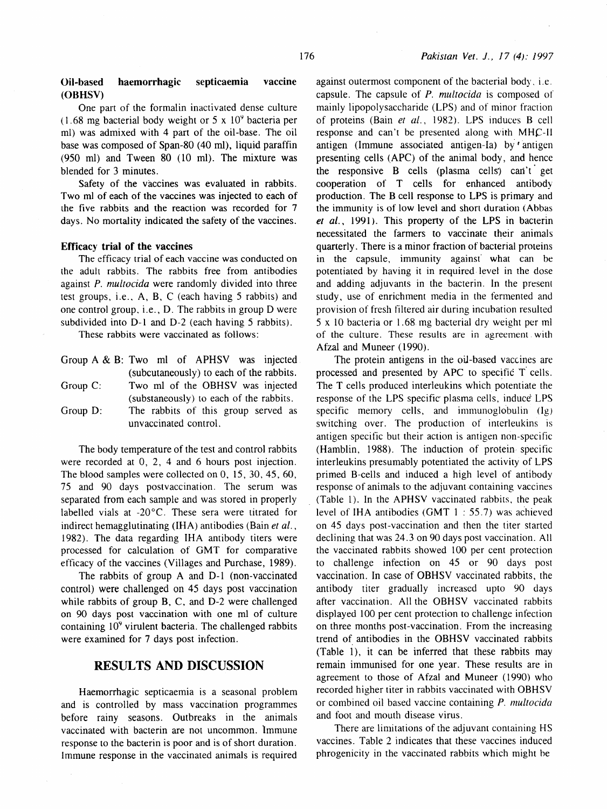#### Oil-based haemorrhagic septicaemia vaccine (OBHSV)

One part of the formalin inactivated dense culture  $(1.68 \text{ mg bacterial body weight or } 5 \times 10^9 \text{ bacteria per})$ ml) was admixed with 4 part of the oil-base. The oil base was composed of Span-80 (40 ml), liquid paraffin (950 ml) and Tween 80 (10 ml). The mixture was blended for 3 minutes.

Safety of the vaccines was evaluated in rabbits. Two ml of each of the vaccines was injected to each of the five rabbits and the reaction was recorded for 7 days. No mortality indicated the safety of the vaccines.

#### Efficacy trial of the vaccines

The efficacy trial of each vaccine was conducted on the adult rabbits. The rabbits free from antibodies against *P. multocida* were randomly divided into three test groups, i.e., A, B, C (each having 5 rabbits) and one control group. i.e., D. The rabbits in group D were subdivided into D-1 and D-2 (each having 5 rabbits).

These rabbits were vaccinated as follows:

|             | Group A & B: Two ml of APHSV was injected                    |
|-------------|--------------------------------------------------------------|
|             | (subcutaneously) to each of the rabbits.                     |
| Group $C$ : | Two ml of the OBHSV was injected                             |
|             | (substaneously) to each of the rabbits.                      |
| Group $D$ : | The rabbits of this group served as<br>unvaccinated control. |

The body temperature of the test and control rabbits were recorded at 0, 2, 4 and 6 hours post injection. The blood samples were collected on 0, 15, 30, 45, 60, 75 and 90 days postvaccination. The serum was separated from each sample and was stored in properly labelled vials at -20°C. These sera were titrated for indirect hemagglutinating (IHA) antibodies (Bain *et al.,*  1982). The data regarding IHA antibody titers were processed for calculation of GMT for comparative efficacy of the vaccines (Villages and Purchase, 1989).

The rabbits of group A and D-1 (non-vaccinated control) were challenged on 45 days post vaccination while rabbits of group B, C, and D-2 were challenged on 90 days post vaccination with one ml of culture containing 10<sup>9</sup> virulent bacteria. The challenged rabbits were examined for 7 days post infection.

# RESULTS AND DISCUSSION

Haemorrhagic septicaemia is a seasonal problem and is controlled by mass vaccination programmes before rainy seasons. Outbreaks in the animals vaccinated with bacterin are not uncommon. lmmune response to the bacterin is poor and is of short duration. Immune response in the vaccinated animals is required against outermost component of the bacterial body. i. c. capsule. The capsule of P. *multocida* is composed of mainly lipopolysaccharide (LPS) and of minor fraction of proteins (Bain el *al.,* 1982). LPS induces 8 cell response and can't be presented along with  $MHC-H$ antigen (Immune associated antigen-Ia) by 'antigen presenting cells (APC) of the animal body, and hence the responsive  $\overline{B}$  cells (plasma cells) can't get cooperation of T cells for enhanced antibody production. The B cell response to LPS is primary and the immunity is of low level and short duration (Abbas et al., 1991). This property of the LPS in bacterin necessitated the farmers to vaccinate their animals quarterly. There is a minor fraction of bacterial proteins in the capsule, immunity against' what can be potentiated by having it in required level in the dose and adding adjuvants in the bacterin. In the present study, use of enrichment media in the fermented and provision of fresh filtered air during incubation resulted 5 x 10 bacteria or 1. 68. mg bacterial dry weight per ml of the culture. These results are in agreement with Afzal and Muneer (1990).

The protein antigens in the oil-based vaccines are processed and presented by APC to specific T cells. The T cells produced interleukins which potentiate the response of the LPS specific plasma cells, induce LPS specific memory cells, and immunoglobulin (Ig) switching over. The production of interleukins is antigen specific but their action is antigen non-specific (Hamblin, 1988). The induction of protein specific interleukins presumably potentiated the activity of LPS primed B-cells and induced a high level of antibody response of animals to the adjuvant containing vaccines (Table 1). In the APHSV vaccinated rabbits, the peak level of IHA antibodies (GMT 1 : 55.7) was achieved on 45 days post-vaccination and then the titer started declining that was 24.3 on 90 days post vaccination. All the vaccinated rabbits showed 100 per cent protection to challenge infection on 45 or 90 days post vaccination. In case of OBHSV vaccinated rabbits, the antibody titer gradually increased upto 90 days after vaccination. All the OBHSV vaccinated rabbits displayed 100 per cent protection to challenge infection on three months post-vaccination. From the increasing trend of antibodies in the OBHSV vaccinated rabbits (Table 1), it can be inferred that these rabbits may remain immunised for one year. These results are in agreement to those of Afzal and Muneer (1990) who recorded higher titer in rabbits vaccinated with OBHSV or combined oil based vaccine containing *P. multocida*  and foot and mouth disease virus.

There are limitations of the adjuvant containing HS vaccines. Table 2 indicates that these vaccines induced phrogenicity in the vaccinated rabbits which might he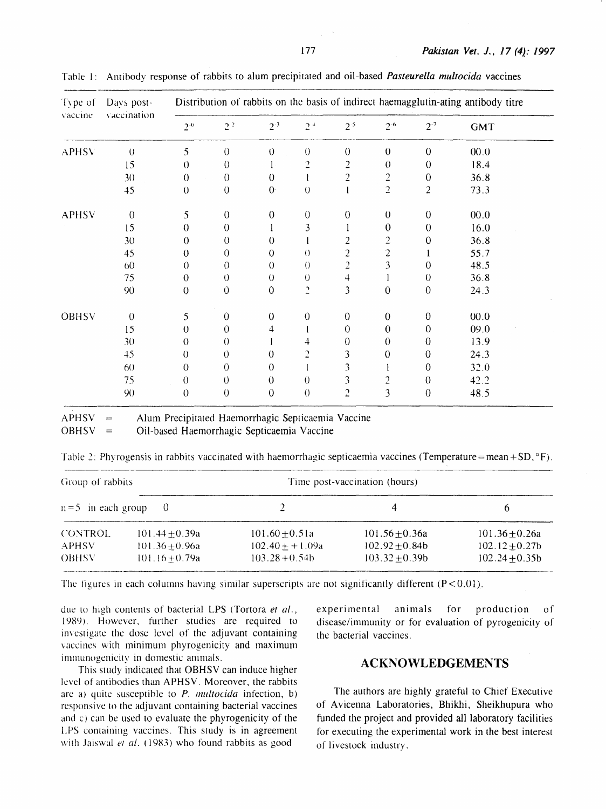| Type of<br>vaccine | Days post-<br>vaccination | Distribution of rabbits on the basis of indirect haemagglutin-ating antibody titre |                  |                  |                |                |                         |                  |            |  |
|--------------------|---------------------------|------------------------------------------------------------------------------------|------------------|------------------|----------------|----------------|-------------------------|------------------|------------|--|
|                    |                           | $2^{0}$                                                                            | 2 <sup>2</sup>   | $2^{-3}$         | 2 <sup>4</sup> | $2^{\cdot 5}$  | $2^{.6}$                | $2 - 7$          | <b>GMT</b> |  |
| <b>APHSV</b>       | $\theta$                  | 5                                                                                  | $\theta$         | $\theta$         | $\theta$       | $\Omega$       | $\overline{0}$          | $\theta$         | 0.00       |  |
|                    | 15                        | 0                                                                                  | $\theta$         |                  | 2              | $\overline{2}$ | $\theta$                | $\mathbf 0$      | 18.4       |  |
|                    | 30                        | $\theta$                                                                           | $\overline{0}$   | $\theta$         |                | $\overline{2}$ | $\overline{c}$          | $\boldsymbol{0}$ | 36.8       |  |
|                    | 45                        | $\theta$                                                                           | $\boldsymbol{0}$ | $\theta$         | $\theta$       |                | $\overline{2}$          | $\overline{2}$   | 73.3       |  |
| <b>APHSV</b>       | $\theta$                  | 5                                                                                  | $\bf{0}$         | $\theta$         | $\theta$       | $\theta$       | $\theta$                | $\theta$         | 00.0       |  |
|                    | 15                        | 0                                                                                  | 0                |                  | 3              |                | $\mathbf{0}$            | 0                | 16.0       |  |
|                    | 30                        | 0                                                                                  | 0                | 0                |                | 2              | 2                       | $\mathbf 0$      | 36.8       |  |
|                    | 45                        | 0                                                                                  | 0                | 0                | $\left($       | 2              | 2                       |                  | 55.7       |  |
|                    | 60                        | 0                                                                                  | 0                | 0                | $\theta$       | 2              | 3                       | 0                | 48.5       |  |
|                    | 75                        | 0                                                                                  | 0                | $\theta$         | $\cup$         | 4              |                         | 0                | 36.8       |  |
|                    | 90                        | 0                                                                                  | 0                | $\theta$         | 2              | 3              | $\overline{0}$          | $\theta$         | 24.3       |  |
| OBHSV              | $\overline{0}$            | 5.                                                                                 | $\theta$         | $\boldsymbol{0}$ | $\overline{0}$ | $\theta$       | $\overline{0}$          | $\theta$         | 00.0       |  |
|                    | 15                        | 0                                                                                  | 0                | 4                |                | $\mathbf{0}$   | $\overline{0}$          | 0                | 09.0       |  |
|                    | 30                        | 0                                                                                  | 0                |                  | 4              | $\theta$       | 0                       | 0                | 13.9       |  |
|                    | 45                        | 0                                                                                  | 0                | 0                | ำ              | 3              | 0                       | 0                | 24.3       |  |
|                    | 60                        | 0                                                                                  | $\theta$         | 0                |                | 3              |                         | 0                | 32.0       |  |
|                    | 75                        | $\theta$                                                                           | $\theta$         | 0                | 0              | 3              | 2                       | 0                | 42.2       |  |
|                    | 90                        | 0                                                                                  | 0                | 0                | $\theta$       | $\overline{c}$ | $\overline{\mathbf{3}}$ | 0                | 48.5       |  |

Tahle I: Anribody response of rabbits to alum precipitated and oil-based *Pasteurella multocida* vaccines

 $=$  Alum Precipitated Haemorrhagic Septicaemia Vaccine  $OBHSV =$  Oil-based Haemorrhagic Septicaemia Vaccine

Table 2: Phyrogensis in rabbits vaccinated with haemorrhagic septicaemia vaccines (Temperature=mean+SD, °F).

| Group of rabbits      |                                      | Time post-vaccination (hours)          |                                          |                                      |  |
|-----------------------|--------------------------------------|----------------------------------------|------------------------------------------|--------------------------------------|--|
| $n=5$ in each group   | - 0                                  |                                        |                                          | <sub>n</sub>                         |  |
| <b>CONTROL</b>        | $101.44 + 0.39a$                     | $101.60 + 0.51a$                       | 101.56 $\pm$ 0.36a                       | $101.36 + 0.26a$                     |  |
| APHSV<br><b>OBHSV</b> | $101.36 + 0.96a$<br>$101.16 + 0.79a$ | $102.40 + + 1.09a$<br>$103.28 + 0.54b$ | $102.92 \pm 0.84b$<br>$103.32 \pm 0.39b$ | $102.12 + 0.27b$<br>$102.24 + 0.35b$ |  |

The figures in each columns having similar superscripts are not significantly different  $(P<0.01)$ .

due to high contents of bacterial LPS (Tortora et al., 1989). However, further studies are required to im estigate the dose level of the adjuvant comaining vaccines with minimum phyrogenicity and maximum immunogenicity in domestic animals.

This study indicated that OBHSV can induce higher level of antibodies than APHSV. Moreover, the rabbits are a) quite susceptible to *P. multocida* infection, b) responsive to the adjuvant containing bacterial vaccines and c) can be used to evaluate the phyrogenicity of the LPS containing vaccines. This study is in agreement with Jaiswal et al. (1983) who found rabbits as good

experimental animals for production of disease/immunity or for evaluation of pyrogenicity of the bacterial vaccines.

### **ACKNOWLEDGEMENTS**

The authors are highly grateful to Chief Executive of Avicenna Laboratories, Bhikhi, Sheikhupura who funded the project and provided all laboratory facilities for executing the experimental work in the best interest of livestock industry.